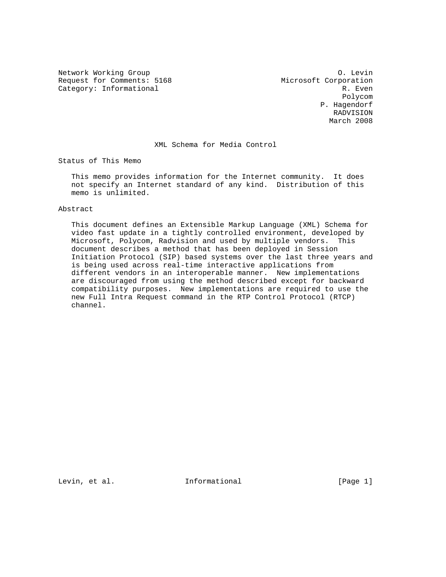Network Working Group Communication of the United States of the United States of the O. Levin Request for Comments: 5168 Microsoft Corporation<br>Category: Informational R. Even Category: Informational

 Polycom P. Hagendorf RADVISION March 2008

### XML Schema for Media Control

Status of This Memo

 This memo provides information for the Internet community. It does not specify an Internet standard of any kind. Distribution of this memo is unlimited.

## Abstract

 This document defines an Extensible Markup Language (XML) Schema for video fast update in a tightly controlled environment, developed by Microsoft, Polycom, Radvision and used by multiple vendors. This document describes a method that has been deployed in Session Initiation Protocol (SIP) based systems over the last three years and is being used across real-time interactive applications from different vendors in an interoperable manner. New implementations are discouraged from using the method described except for backward compatibility purposes. New implementations are required to use the new Full Intra Request command in the RTP Control Protocol (RTCP) channel.

Levin, et al.  $I_n$  Informational [Page 1]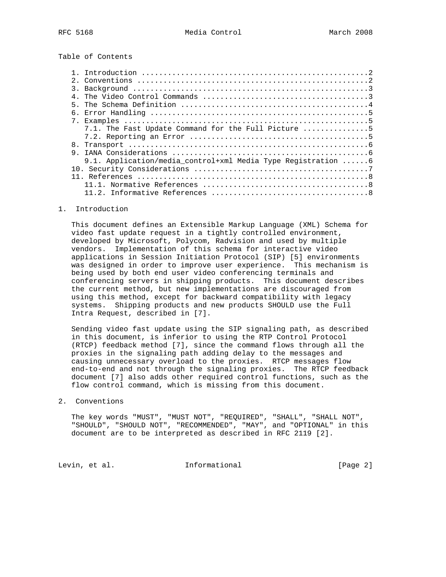Table of Contents

| 7.1. The Fast Update Command for the Full Picture $\ldots, \ldots, \ldots, 5$ |  |
|-------------------------------------------------------------------------------|--|
|                                                                               |  |
|                                                                               |  |
| 9                                                                             |  |
| 9.1. Application/media control+xml Media Type Registration $\dots \dots 6$    |  |
|                                                                               |  |
|                                                                               |  |
|                                                                               |  |
|                                                                               |  |

#### 1. Introduction

 This document defines an Extensible Markup Language (XML) Schema for video fast update request in a tightly controlled environment, developed by Microsoft, Polycom, Radvision and used by multiple vendors. Implementation of this schema for interactive video applications in Session Initiation Protocol (SIP) [5] environments was designed in order to improve user experience. This mechanism is being used by both end user video conferencing terminals and conferencing servers in shipping products. This document describes the current method, but new implementations are discouraged from using this method, except for backward compatibility with legacy systems. Shipping products and new products SHOULD use the Full Intra Request, described in [7].

 Sending video fast update using the SIP signaling path, as described in this document, is inferior to using the RTP Control Protocol (RTCP) feedback method [7], since the command flows through all the proxies in the signaling path adding delay to the messages and causing unnecessary overload to the proxies. RTCP messages flow end-to-end and not through the signaling proxies. The RTCP feedback document [7] also adds other required control functions, such as the flow control command, which is missing from this document.

#### 2. Conventions

 The key words "MUST", "MUST NOT", "REQUIRED", "SHALL", "SHALL NOT", "SHOULD", "SHOULD NOT", "RECOMMENDED", "MAY", and "OPTIONAL" in this document are to be interpreted as described in RFC 2119 [2].

Levin, et al. 1nformational 1999 [Page 2]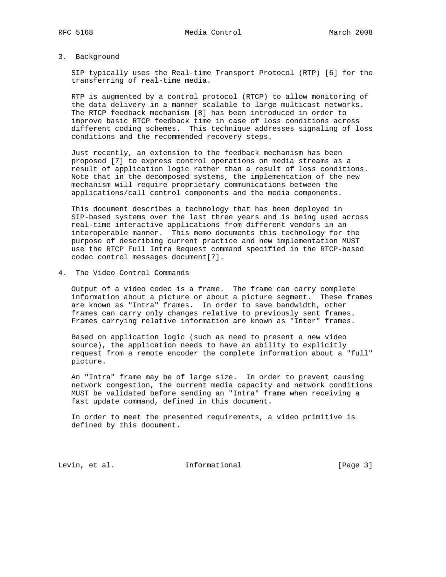### 3. Background

 SIP typically uses the Real-time Transport Protocol (RTP) [6] for the transferring of real-time media.

 RTP is augmented by a control protocol (RTCP) to allow monitoring of the data delivery in a manner scalable to large multicast networks. The RTCP feedback mechanism [8] has been introduced in order to improve basic RTCP feedback time in case of loss conditions across different coding schemes. This technique addresses signaling of loss conditions and the recommended recovery steps.

 Just recently, an extension to the feedback mechanism has been proposed [7] to express control operations on media streams as a result of application logic rather than a result of loss conditions. Note that in the decomposed systems, the implementation of the new mechanism will require proprietary communications between the applications/call control components and the media components.

 This document describes a technology that has been deployed in SIP-based systems over the last three years and is being used across real-time interactive applications from different vendors in an interoperable manner. This memo documents this technology for the purpose of describing current practice and new implementation MUST use the RTCP Full Intra Request command specified in the RTCP-based codec control messages document[7].

4. The Video Control Commands

 Output of a video codec is a frame. The frame can carry complete information about a picture or about a picture segment. These frames are known as "Intra" frames. In order to save bandwidth, other frames can carry only changes relative to previously sent frames. Frames carrying relative information are known as "Inter" frames.

 Based on application logic (such as need to present a new video source), the application needs to have an ability to explicitly request from a remote encoder the complete information about a "full" picture.

 An "Intra" frame may be of large size. In order to prevent causing network congestion, the current media capacity and network conditions MUST be validated before sending an "Intra" frame when receiving a fast update command, defined in this document.

 In order to meet the presented requirements, a video primitive is defined by this document.

Levin, et al. 10 Informational 1999 [Page 3]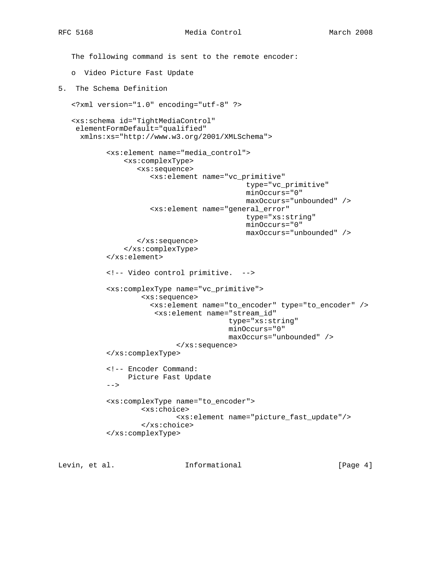The following command is sent to the remote encoder: o Video Picture Fast Update 5. The Schema Definition <?xml version="1.0" encoding="utf-8" ?> <xs:schema id="TightMediaControl" elementFormDefault="qualified" xmlns:xs="http://www.w3.org/2001/XMLSchema"> <xs:element name="media\_control"> <xs:complexType> <xs:sequence> <xs:element name="vc\_primitive" type="vc\_primitive" minOccurs="0" maxOccurs="unbounded" /> <xs:element name="general\_error" type="xs:string" minOccurs="0" maxOccurs="unbounded" /> </xs:sequence> </xs:complexType> </xs:element> <!-- Video control primitive. --> <xs:complexType name="vc\_primitive"> <xs:sequence> <xs:element name="to\_encoder" type="to\_encoder" /> <xs:element name="stream\_id" type="xs:string" minOccurs="0" maxOccurs="unbounded" /> </xs:sequence> </xs:complexType> <!-- Encoder Command: Picture Fast Update  $--&>$  <xs:complexType name="to\_encoder"> <xs:choice> <xs:element name="picture\_fast\_update"/> </xs:choice> </xs:complexType>

Levin, et al. **Informational** [Page 4]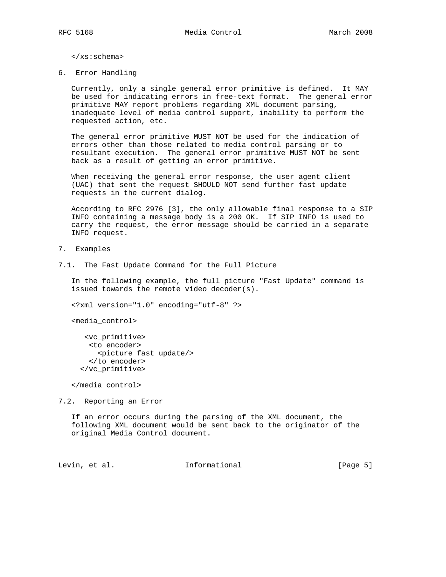</xs:schema>

6. Error Handling

 Currently, only a single general error primitive is defined. It MAY be used for indicating errors in free-text format. The general error primitive MAY report problems regarding XML document parsing, inadequate level of media control support, inability to perform the requested action, etc.

 The general error primitive MUST NOT be used for the indication of errors other than those related to media control parsing or to resultant execution. The general error primitive MUST NOT be sent back as a result of getting an error primitive.

 When receiving the general error response, the user agent client (UAC) that sent the request SHOULD NOT send further fast update requests in the current dialog.

 According to RFC 2976 [3], the only allowable final response to a SIP INFO containing a message body is a 200 OK. If SIP INFO is used to carry the request, the error message should be carried in a separate INFO request.

- 7. Examples
- 7.1. The Fast Update Command for the Full Picture

 In the following example, the full picture "Fast Update" command is issued towards the remote video decoder(s).

<?xml version="1.0" encoding="utf-8" ?>

<media\_control>

```
 <vc_primitive>
 <to_encoder>
    <picture_fast_update/>
  </to_encoder>
</vc_primitive>
```
</media\_control>

7.2. Reporting an Error

 If an error occurs during the parsing of the XML document, the following XML document would be sent back to the originator of the original Media Control document.

Levin, et al. 1nformational 1999 [Page 5]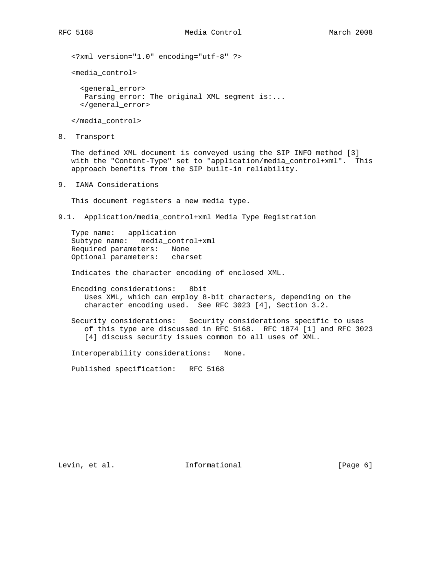<?xml version="1.0" encoding="utf-8" ?>

<media\_control>

 <general\_error> Parsing error: The original XML segment  $is:...$ </general\_error>

</media\_control>

8. Transport

 The defined XML document is conveyed using the SIP INFO method [3] with the "Content-Type" set to "application/media\_control+xml". This approach benefits from the SIP built-in reliability.

9. IANA Considerations

This document registers a new media type.

9.1. Application/media\_control+xml Media Type Registration

 Type name: application Subtype name: media\_control+xml Required parameters: None Optional parameters: charset

Indicates the character encoding of enclosed XML.

 Encoding considerations: 8bit Uses XML, which can employ 8-bit characters, depending on the character encoding used. See RFC 3023 [4], Section 3.2.

 Security considerations: Security considerations specific to uses of this type are discussed in RFC 5168. RFC 1874 [1] and RFC 3023 [4] discuss security issues common to all uses of XML.

Interoperability considerations: None.

Published specification: RFC 5168

Levin, et al. 1nformational 1999 [Page 6]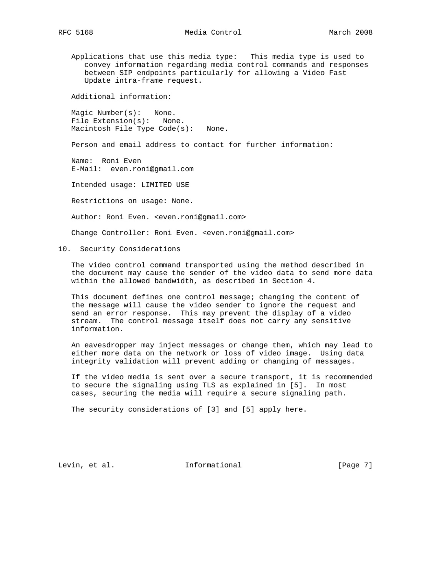Applications that use this media type: This media type is used to convey information regarding media control commands and responses between SIP endpoints particularly for allowing a Video Fast Update intra-frame request.

Additional information:

 Magic Number(s): None. File Extension(s): None. Macintosh File Type Code(s): None.

Person and email address to contact for further information:

 Name: Roni Even E-Mail: even.roni@gmail.com

Intended usage: LIMITED USE

Restrictions on usage: None.

Author: Roni Even. <even.roni@gmail.com>

Change Controller: Roni Even. <even.roni@gmail.com>

10. Security Considerations

 The video control command transported using the method described in the document may cause the sender of the video data to send more data within the allowed bandwidth, as described in Section 4.

 This document defines one control message; changing the content of the message will cause the video sender to ignore the request and send an error response. This may prevent the display of a video stream. The control message itself does not carry any sensitive information.

 An eavesdropper may inject messages or change them, which may lead to either more data on the network or loss of video image. Using data integrity validation will prevent adding or changing of messages.

 If the video media is sent over a secure transport, it is recommended to secure the signaling using TLS as explained in [5]. In most cases, securing the media will require a secure signaling path.

The security considerations of [3] and [5] apply here.

Levin, et al. 1nformational 1999 [Page 7]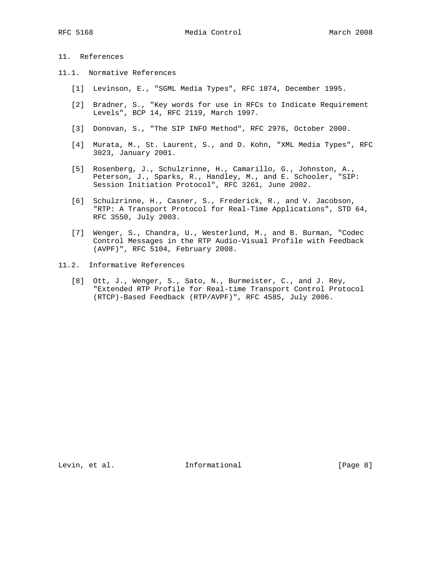RFC 5168 Media Control Media Control March 2008

# 11. References

- 11.1. Normative References
	- [1] Levinson, E., "SGML Media Types", RFC 1874, December 1995.
	- [2] Bradner, S., "Key words for use in RFCs to Indicate Requirement Levels", BCP 14, RFC 2119, March 1997.
	- [3] Donovan, S., "The SIP INFO Method", RFC 2976, October 2000.
	- [4] Murata, M., St. Laurent, S., and D. Kohn, "XML Media Types", RFC 3023, January 2001.
	- [5] Rosenberg, J., Schulzrinne, H., Camarillo, G., Johnston, A., Peterson, J., Sparks, R., Handley, M., and E. Schooler, "SIP: Session Initiation Protocol", RFC 3261, June 2002.
	- [6] Schulzrinne, H., Casner, S., Frederick, R., and V. Jacobson, "RTP: A Transport Protocol for Real-Time Applications", STD 64, RFC 3550, July 2003.
	- [7] Wenger, S., Chandra, U., Westerlund, M., and B. Burman, "Codec Control Messages in the RTP Audio-Visual Profile with Feedback (AVPF)", RFC 5104, February 2008.
- 11.2. Informative References
	- [8] Ott, J., Wenger, S., Sato, N., Burmeister, C., and J. Rey, "Extended RTP Profile for Real-time Transport Control Protocol (RTCP)-Based Feedback (RTP/AVPF)", RFC 4585, July 2006.

Levin, et al. 10. Informational 1. [Page 8]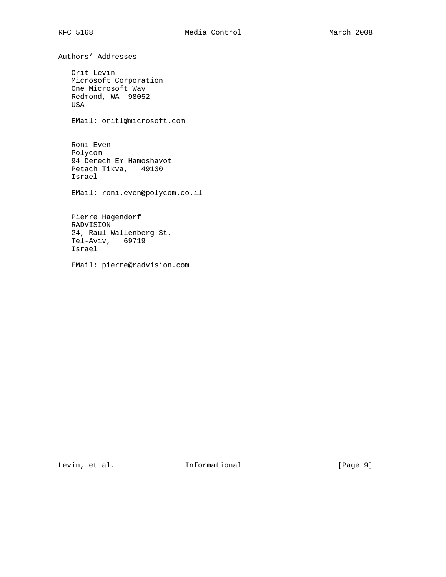Authors' Addresses Orit Levin Microsoft Corporation One Microsoft Way Redmond, WA 98052 USA EMail: oritl@microsoft.com Roni Even Polycom 94 Derech Em Hamoshavot Petach Tikva, 49130 Israel EMail: roni.even@polycom.co.il Pierre Hagendorf RADVISION 24, Raul Wallenberg St. Tel-Aviv, 69719 Israel

EMail: pierre@radvision.com

Levin, et al. 10. Informational 1. [Page 9]